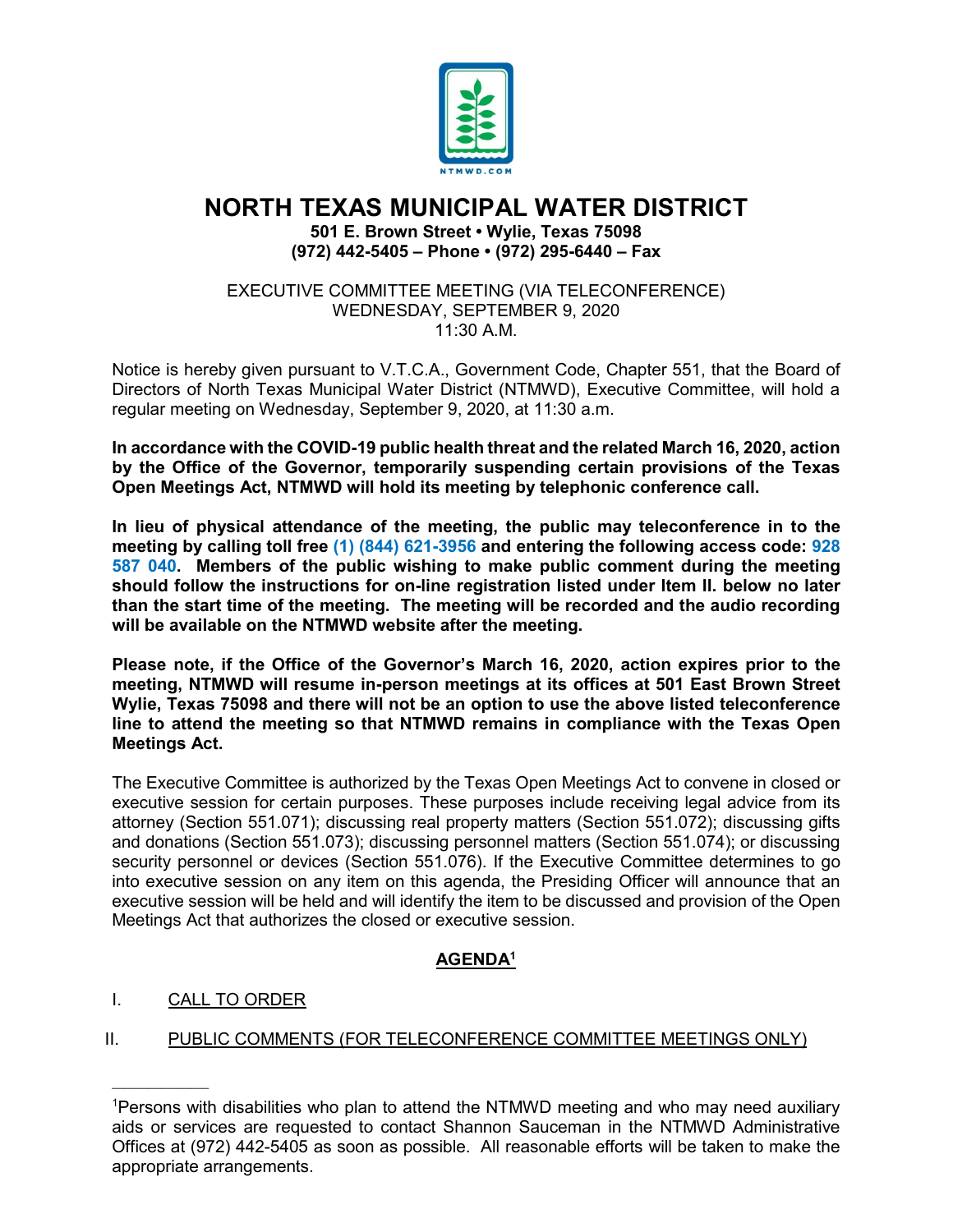

# **NORTH TEXAS MUNICIPAL WATER DISTRICT**

**501 E. Brown Street • Wylie, Texas 75098 (972) 442-5405 – Phone • (972) 295-6440 – Fax**

EXECUTIVE COMMITTEE MEETING (VIA TELECONFERENCE) WEDNESDAY, SEPTEMBER 9, 2020  $11:30$  A M

Notice is hereby given pursuant to V.T.C.A., Government Code, Chapter 551, that the Board of Directors of North Texas Municipal Water District (NTMWD), Executive Committee, will hold a regular meeting on Wednesday, September 9, 2020, at 11:30 a.m.

**In accordance with the COVID-19 public health threat and the related March 16, 2020, action by the Office of the Governor, temporarily suspending certain provisions of the Texas Open Meetings Act, NTMWD will hold its meeting by telephonic conference call.** 

**In lieu of physical attendance of the meeting, the public may teleconference in to the meeting by calling toll free (1) (844) 621-3956 and entering the following access code: 928 587 040. Members of the public wishing to make public comment during the meeting should follow the instructions for on-line registration listed under Item II. below no later than the start time of the meeting. The meeting will be recorded and the audio recording will be available on the NTMWD website after the meeting.**

**Please note, if the Office of the Governor's March 16, 2020, action expires prior to the meeting, NTMWD will resume in-person meetings at its offices at 501 East Brown Street Wylie, Texas 75098 and there will not be an option to use the above listed teleconference line to attend the meeting so that NTMWD remains in compliance with the Texas Open Meetings Act.** 

The Executive Committee is authorized by the Texas Open Meetings Act to convene in closed or executive session for certain purposes. These purposes include receiving legal advice from its attorney (Section 551.071); discussing real property matters (Section 551.072); discussing gifts and donations (Section 551.073); discussing personnel matters (Section 551.074); or discussing security personnel or devices (Section 551.076). If the Executive Committee determines to go into executive session on any item on this agenda, the Presiding Officer will announce that an executive session will be held and will identify the item to be discussed and provision of the Open Meetings Act that authorizes the closed or executive session.

# **AGENDA1**

## I. CALL TO ORDER

 $\overline{\phantom{a}}$  , where  $\overline{\phantom{a}}$ 

# II. PUBLIC COMMENTS (FOR TELECONFERENCE COMMITTEE MEETINGS ONLY)

<sup>1</sup> Persons with disabilities who plan to attend the NTMWD meeting and who may need auxiliary aids or services are requested to contact Shannon Sauceman in the NTMWD Administrative Offices at (972) 442-5405 as soon as possible. All reasonable efforts will be taken to make the appropriate arrangements.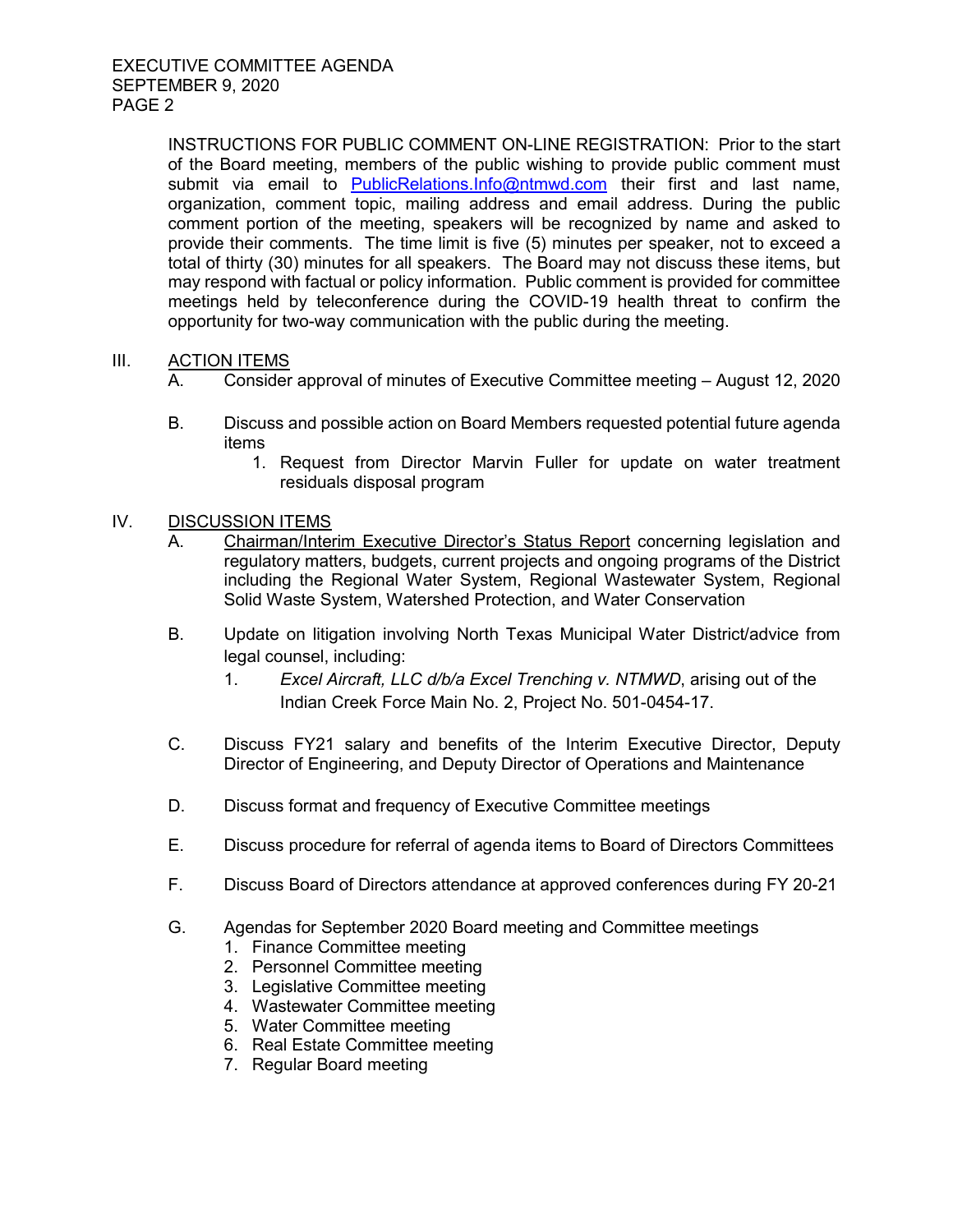INSTRUCTIONS FOR PUBLIC COMMENT ON-LINE REGISTRATION: Prior to the start of the Board meeting, members of the public wishing to provide public comment must submit via email to [PublicRelations.Info@ntmwd.com](mailto:PublicRelations.Info@ntmwd.com) their first and last name, organization, comment topic, mailing address and email address. During the public comment portion of the meeting, speakers will be recognized by name and asked to provide their comments. The time limit is five (5) minutes per speaker, not to exceed a total of thirty (30) minutes for all speakers. The Board may not discuss these items, but may respond with factual or policy information. Public comment is provided for committee meetings held by teleconference during the COVID-19 health threat to confirm the opportunity for two-way communication with the public during the meeting.

### III. ACTION ITEMS

- A. Consider approval of minutes of Executive Committee meeting August 12, 2020
- B. Discuss and possible action on Board Members requested potential future agenda items
	- 1. Request from Director Marvin Fuller for update on water treatment residuals disposal program

#### IV. DISCUSSION ITEMS

- A. Chairman/Interim Executive Director's Status Report concerning legislation and regulatory matters, budgets, current projects and ongoing programs of the District including the Regional Water System, Regional Wastewater System, Regional Solid Waste System, Watershed Protection, and Water Conservation
- B. Update on litigation involving North Texas Municipal Water District/advice from legal counsel, including:
	- 1. *Excel Aircraft, LLC d/b/a Excel Trenching v. NTMWD*, arising out of the Indian Creek Force Main No. 2, Project No. 501-0454-17.
- C. Discuss FY21 salary and benefits of the Interim Executive Director, Deputy Director of Engineering, and Deputy Director of Operations and Maintenance
- D. Discuss format and frequency of Executive Committee meetings
- E. Discuss procedure for referral of agenda items to Board of Directors Committees
- F. Discuss Board of Directors attendance at approved conferences during FY 20-21
- G. Agendas for September 2020 Board meeting and Committee meetings
	- 1. Finance Committee meeting
	- 2. Personnel Committee meeting
	- 3. Legislative Committee meeting
	- 4. Wastewater Committee meeting
	- 5. Water Committee meeting
	- 6. Real Estate Committee meeting
	- 7. Regular Board meeting